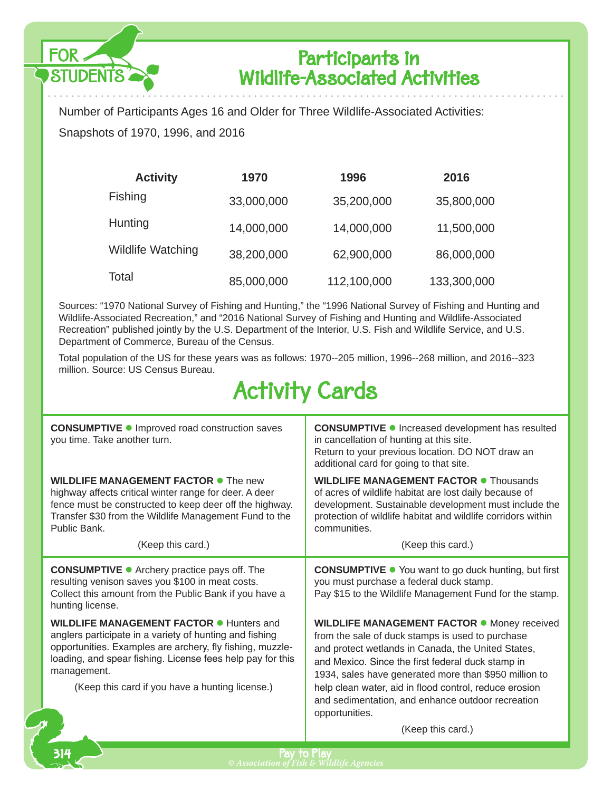

314

### Participants in Wildlife-Associated Activities

Number of Participants Ages 16 and Older for Three Wildlife-Associated Activities: Snapshots of 1970, 1996, and 2016

| <b>Activity</b>          | 1970       | 1996        | 2016        |
|--------------------------|------------|-------------|-------------|
| Fishing                  | 33,000,000 | 35,200,000  | 35,800,000  |
| Hunting                  | 14,000,000 | 14,000,000  | 11,500,000  |
| <b>Wildlife Watching</b> | 38,200,000 | 62,900,000  | 86,000,000  |
| Total                    | 85,000,000 | 112,100,000 | 133,300,000 |

Sources: "1970 National Survey of Fishing and Hunting," the "1996 National Survey of Fishing and Hunting and Wildlife-Associated Recreation," and "2016 National Survey of Fishing and Hunting and Wildlife-Associated Recreation" published jointly by the U.S. Department of the Interior, U.S. Fish and Wildlife Service, and U.S. Department of Commerce, Bureau of the Census.

Total population of the US for these years was as follows: 1970--205 million, 1996--268 million, and 2016--323 million. Source: US Census Bureau.

# Activity Cards

| <b>CONSUMPTIVE ·</b> Improved road construction saves<br>you time. Take another turn.                                                                                                                                                                                                                   | <b>CONSUMPTIVE ·</b> Increased development has resulted<br>in cancellation of hunting at this site.<br>Return to your previous location. DO NOT draw an<br>additional card for going to that site.                                                                                                                                                                                                          |
|---------------------------------------------------------------------------------------------------------------------------------------------------------------------------------------------------------------------------------------------------------------------------------------------------------|-------------------------------------------------------------------------------------------------------------------------------------------------------------------------------------------------------------------------------------------------------------------------------------------------------------------------------------------------------------------------------------------------------------|
| <b>WILDLIFE MANAGEMENT FACTOR .</b> The new<br>highway affects critical winter range for deer. A deer<br>fence must be constructed to keep deer off the highway.<br>Transfer \$30 from the Wildlife Management Fund to the<br>Public Bank.                                                              | <b>WILDLIFE MANAGEMENT FACTOR • Thousands</b><br>of acres of wildlife habitat are lost daily because of<br>development. Sustainable development must include the<br>protection of wildlife habitat and wildlife corridors within<br>communities.                                                                                                                                                            |
| (Keep this card.)                                                                                                                                                                                                                                                                                       | (Keep this card.)                                                                                                                                                                                                                                                                                                                                                                                           |
| <b>CONSUMPTIVE •</b> Archery practice pays off. The<br>resulting venison saves you \$100 in meat costs.<br>Collect this amount from the Public Bank if you have a<br>hunting license.                                                                                                                   | <b>CONSUMPTIVE .</b> You want to go duck hunting, but first<br>you must purchase a federal duck stamp.<br>Pay \$15 to the Wildlife Management Fund for the stamp.                                                                                                                                                                                                                                           |
| <b>WILDLIFE MANAGEMENT FACTOR ● Hunters and</b><br>anglers participate in a variety of hunting and fishing<br>opportunities. Examples are archery, fly fishing, muzzle-<br>loading, and spear fishing. License fees help pay for this<br>management.<br>(Keep this card if you have a hunting license.) | <b>WILDLIFE MANAGEMENT FACTOR .</b> Money received<br>from the sale of duck stamps is used to purchase<br>and protect wetlands in Canada, the United States,<br>and Mexico. Since the first federal duck stamp in<br>1934, sales have generated more than \$950 million to<br>help clean water, aid in flood control, reduce erosion<br>and sedimentation, and enhance outdoor recreation<br>opportunities. |
|                                                                                                                                                                                                                                                                                                         | (Keep this card.)                                                                                                                                                                                                                                                                                                                                                                                           |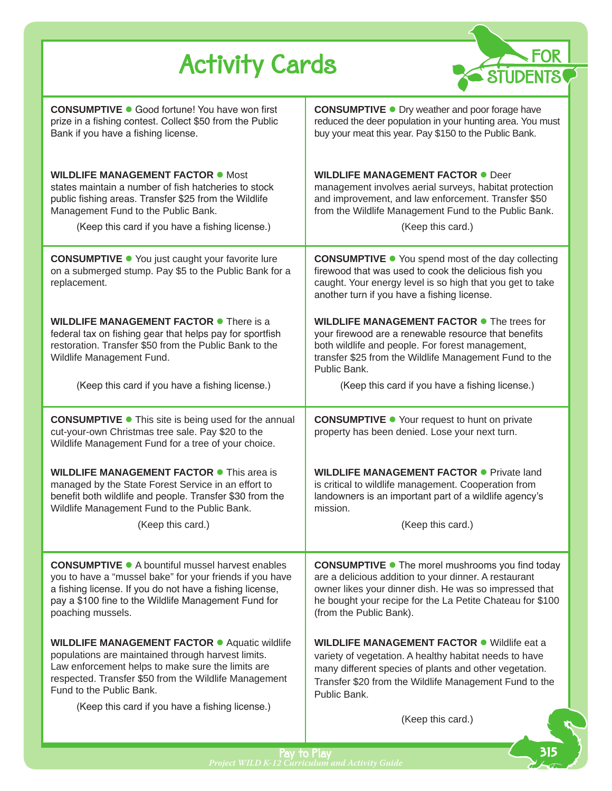| FOR »<br><b>Activity Cards</b>                                                                                                                                                                                                                                                                          |                                                                                                                                                                                                                                                                    |
|---------------------------------------------------------------------------------------------------------------------------------------------------------------------------------------------------------------------------------------------------------------------------------------------------------|--------------------------------------------------------------------------------------------------------------------------------------------------------------------------------------------------------------------------------------------------------------------|
| <b>CONSUMPTIVE ·</b> Good fortune! You have won first<br>prize in a fishing contest. Collect \$50 from the Public<br>Bank if you have a fishing license.                                                                                                                                                | <b>CONSUMPTIVE .</b> Dry weather and poor forage have<br>reduced the deer population in your hunting area. You must<br>buy your meat this year. Pay \$150 to the Public Bank.                                                                                      |
| <b>WILDLIFE MANAGEMENT FACTOR • Most</b><br>states maintain a number of fish hatcheries to stock<br>public fishing areas. Transfer \$25 from the Wildlife<br>Management Fund to the Public Bank.<br>(Keep this card if you have a fishing license.)                                                     | <b>WILDLIFE MANAGEMENT FACTOR • Deer</b><br>management involves aerial surveys, habitat protection<br>and improvement, and law enforcement. Transfer \$50<br>from the Wildlife Management Fund to the Public Bank.<br>(Keep this card.)                            |
| <b>CONSUMPTIVE ·</b> You just caught your favorite lure<br>on a submerged stump. Pay \$5 to the Public Bank for a<br>replacement.                                                                                                                                                                       | <b>CONSUMPTIVE .</b> You spend most of the day collecting<br>firewood that was used to cook the delicious fish you<br>caught. Your energy level is so high that you get to take<br>another turn if you have a fishing license.                                     |
| <b>WILDLIFE MANAGEMENT FACTOR • There is a</b><br>federal tax on fishing gear that helps pay for sportfish<br>restoration. Transfer \$50 from the Public Bank to the<br>Wildlife Management Fund.                                                                                                       | WILDLIFE MANAGEMENT FACTOR . The trees for<br>your firewood are a renewable resource that benefits<br>both wildlife and people. For forest management,<br>transfer \$25 from the Wildlife Management Fund to the<br>Public Bank.                                   |
| (Keep this card if you have a fishing license.)                                                                                                                                                                                                                                                         | (Keep this card if you have a fishing license.)                                                                                                                                                                                                                    |
| <b>CONSUMPTIVE .</b> This site is being used for the annual<br>cut-your-own Christmas tree sale. Pay \$20 to the<br>Wildlife Management Fund for a tree of your choice.                                                                                                                                 | <b>CONSUMPTIVE .</b> Your request to hunt on private<br>property has been denied. Lose your next turn.                                                                                                                                                             |
| <b>WILDLIFE MANAGEMENT FACTOR • This area is</b><br>managed by the State Forest Service in an effort to<br>benefit both wildlife and people. Transfer \$30 from the<br>Wildlife Management Fund to the Public Bank.                                                                                     | <b>WILDLIFE MANAGEMENT FACTOR ·</b> Private land<br>is critical to wildlife management. Cooperation from<br>landowners is an important part of a wildlife agency's<br>mission.                                                                                     |
| (Keep this card.)                                                                                                                                                                                                                                                                                       | (Keep this card.)                                                                                                                                                                                                                                                  |
| <b>CONSUMPTIVE ·</b> A bountiful mussel harvest enables<br>you to have a "mussel bake" for your friends if you have<br>a fishing license. If you do not have a fishing license,<br>pay a \$100 fine to the Wildlife Management Fund for<br>poaching mussels.                                            | <b>CONSUMPTIVE .</b> The morel mushrooms you find today<br>are a delicious addition to your dinner. A restaurant<br>owner likes your dinner dish. He was so impressed that<br>he bought your recipe for the La Petite Chateau for \$100<br>(from the Public Bank). |
| <b>WILDLIFE MANAGEMENT FACTOR ·</b> Aquatic wildlife<br>populations are maintained through harvest limits.<br>Law enforcement helps to make sure the limits are<br>respected. Transfer \$50 from the Wildlife Management<br>Fund to the Public Bank.<br>(Keep this card if you have a fishing license.) | <b>WILDLIFE MANAGEMENT FACTOR .</b> Wildlife eat a<br>variety of vegetation. A healthy habitat needs to have<br>many different species of plants and other vegetation.<br>Transfer \$20 from the Wildlife Management Fund to the<br>Public Bank.                   |
|                                                                                                                                                                                                                                                                                                         | (Keep this card.)                                                                                                                                                                                                                                                  |

Pay to Play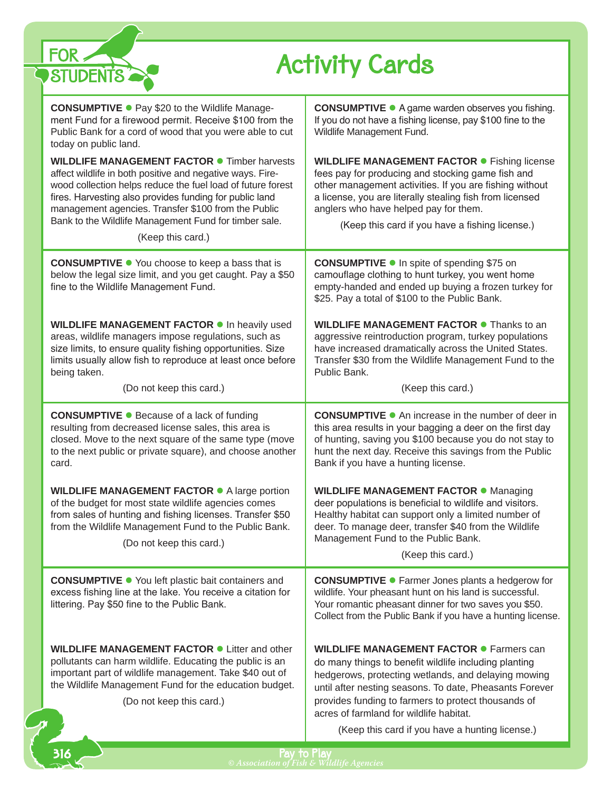| FOR,<br><b>Activity Cards</b><br><b>STUDENTS</b>                                                                                                                                                                                                                                                                                                                                |                                                                                                                                                                                                                                                                                                                              |  |
|---------------------------------------------------------------------------------------------------------------------------------------------------------------------------------------------------------------------------------------------------------------------------------------------------------------------------------------------------------------------------------|------------------------------------------------------------------------------------------------------------------------------------------------------------------------------------------------------------------------------------------------------------------------------------------------------------------------------|--|
| <b>CONSUMPTIVE ·</b> Pay \$20 to the Wildlife Manage-<br>ment Fund for a firewood permit. Receive \$100 from the<br>Public Bank for a cord of wood that you were able to cut<br>today on public land.                                                                                                                                                                           | <b>CONSUMPTIVE ·</b> A game warden observes you fishing.<br>If you do not have a fishing license, pay \$100 fine to the<br>Wildlife Management Fund.                                                                                                                                                                         |  |
| <b>WILDLIFE MANAGEMENT FACTOR • Timber harvests</b><br>affect wildlife in both positive and negative ways. Fire-<br>wood collection helps reduce the fuel load of future forest<br>fires. Harvesting also provides funding for public land<br>management agencies. Transfer \$100 from the Public<br>Bank to the Wildlife Management Fund for timber sale.<br>(Keep this card.) | <b>WILDLIFE MANAGEMENT FACTOR • Fishing license</b><br>fees pay for producing and stocking game fish and<br>other management activities. If you are fishing without<br>a license, you are literally stealing fish from licensed<br>anglers who have helped pay for them.<br>(Keep this card if you have a fishing license.)  |  |
| <b>CONSUMPTIVE •</b> You choose to keep a bass that is<br>below the legal size limit, and you get caught. Pay a \$50<br>fine to the Wildlife Management Fund.                                                                                                                                                                                                                   | <b>CONSUMPTIVE ● In spite of spending \$75 on</b><br>camouflage clothing to hunt turkey, you went home<br>empty-handed and ended up buying a frozen turkey for<br>\$25. Pay a total of \$100 to the Public Bank.                                                                                                             |  |
| WILDLIFE MANAGEMENT FACTOR . In heavily used<br>areas, wildlife managers impose regulations, such as<br>size limits, to ensure quality fishing opportunities. Size<br>limits usually allow fish to reproduce at least once before<br>being taken.<br>(Do not keep this card.)                                                                                                   | <b>WILDLIFE MANAGEMENT FACTOR • Thanks to an</b><br>aggressive reintroduction program, turkey populations<br>have increased dramatically across the United States.<br>Transfer \$30 from the Wildlife Management Fund to the<br>Public Bank.<br>(Keep this card.)                                                            |  |
| <b>CONSUMPTIVE .</b> Because of a lack of funding<br>resulting from decreased license sales, this area is<br>closed. Move to the next square of the same type (move<br>to the next public or private square), and choose another<br>card.                                                                                                                                       | <b>CONSUMPTIVE</b> • An increase in the number of deer in<br>this area results in your bagging a deer on the first day<br>of hunting, saving you \$100 because you do not stay to<br>hunt the next day. Receive this savings from the Public<br>Bank if you have a hunting license.                                          |  |
| WILDLIFE MANAGEMENT FACTOR • A large portion<br>of the budget for most state wildlife agencies comes<br>from sales of hunting and fishing licenses. Transfer \$50<br>from the Wildlife Management Fund to the Public Bank.<br>(Do not keep this card.)                                                                                                                          | <b>WILDLIFE MANAGEMENT FACTOR .</b> Managing<br>deer populations is beneficial to wildlife and visitors.<br>Healthy habitat can support only a limited number of<br>deer. To manage deer, transfer \$40 from the Wildlife<br>Management Fund to the Public Bank.<br>(Keep this card.)                                        |  |
| <b>CONSUMPTIVE .</b> You left plastic bait containers and<br>excess fishing line at the lake. You receive a citation for<br>littering. Pay \$50 fine to the Public Bank.                                                                                                                                                                                                        | <b>CONSUMPTIVE ·</b> Farmer Jones plants a hedgerow for<br>wildlife. Your pheasant hunt on his land is successful.<br>Your romantic pheasant dinner for two saves you \$50.<br>Collect from the Public Bank if you have a hunting license.                                                                                   |  |
| <b>WILDLIFE MANAGEMENT FACTOR .</b> Litter and other<br>pollutants can harm wildlife. Educating the public is an<br>important part of wildlife management. Take \$40 out of<br>the Wildlife Management Fund for the education budget.<br>(Do not keep this card.)                                                                                                               | <b>WILDLIFE MANAGEMENT FACTOR •</b> Farmers can<br>do many things to benefit wildlife including planting<br>hedgerows, protecting wetlands, and delaying mowing<br>until after nesting seasons. To date, Pheasants Forever<br>provides funding to farmers to protect thousands of<br>acres of farmland for wildlife habitat. |  |
|                                                                                                                                                                                                                                                                                                                                                                                 | (Keep this card if you have a hunting license.)                                                                                                                                                                                                                                                                              |  |

r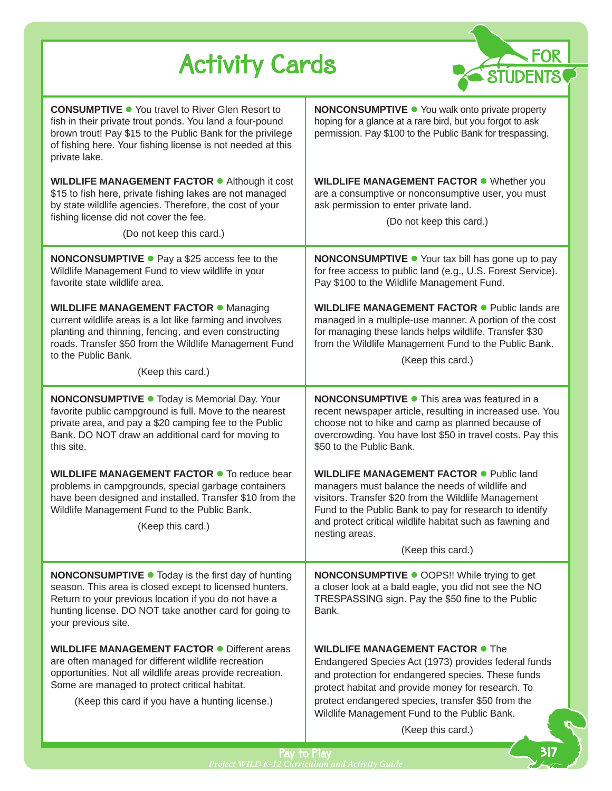| <b>Activity Cards</b>                                                                                                                                                                                                                                                       |                                                                                                                                                                                                                                                                                                                                        |
|-----------------------------------------------------------------------------------------------------------------------------------------------------------------------------------------------------------------------------------------------------------------------------|----------------------------------------------------------------------------------------------------------------------------------------------------------------------------------------------------------------------------------------------------------------------------------------------------------------------------------------|
| <b>CONSUMPTIVE •</b> You travel to River Glen Resort to<br>fish in their private trout ponds. You land a four-pound<br>brown trout! Pay \$15 to the Public Bank for the privilege<br>of fishing here. Your fishing license is not needed at this<br>private lake.           | <b>NONCONSUMPTIVE •</b> You walk onto private property<br>hoping for a glance at a rare bird, but you forgot to ask<br>permission. Pay \$100 to the Public Bank for trespassing.                                                                                                                                                       |
| WILDLIFE MANAGEMENT FACTOR . Although it cost<br>\$15 to fish here, private fishing lakes are not managed<br>by state wildlife agencies. Therefore, the cost of your<br>fishing license did not cover the fee.<br>(Do not keep this card.)                                  | <b>WILDLIFE MANAGEMENT FACTOR .</b> Whether you<br>are a consumptive or nonconsumptive user, you must<br>ask permission to enter private land.<br>(Do not keep this card.)                                                                                                                                                             |
| <b>NONCONSUMPTIVE •</b> Pay a \$25 access fee to the<br>Wildlife Management Fund to view wildlife in your<br>favorite state wildlife area.                                                                                                                                  | <b>NONCONSUMPTIVE •</b> Your tax bill has gone up to pay<br>for free access to public land (e.g., U.S. Forest Service).<br>Pay \$100 to the Wildlife Management Fund.                                                                                                                                                                  |
| <b>WILDLIFE MANAGEMENT FACTOR · Managing</b><br>current wildlife areas is a lot like farming and involves<br>planting and thinning, fencing, and even constructing<br>roads. Transfer \$50 from the Wildlife Management Fund<br>to the Public Bank.<br>(Keep this card.)    | <b>WILDLIFE MANAGEMENT FACTOR • Public lands are</b><br>managed in a multiple-use manner. A portion of the cost<br>for managing these lands helps wildlife. Transfer \$30<br>from the Wildlife Management Fund to the Public Bank.<br>(Keep this card.)                                                                                |
| NONCONSUMPTIVE . Today is Memorial Day. Your<br>favorite public campground is full. Move to the nearest<br>private area, and pay a \$20 camping fee to the Public<br>Bank. DO NOT draw an additional card for moving to<br>this site.                                       | <b>NONCONSUMPTIVE • This area was featured in a</b><br>recent newspaper article, resulting in increased use. You<br>choose not to hike and camp as planned because of<br>overcrowding. You have lost \$50 in travel costs. Pay this<br>\$50 to the Public Bank.                                                                        |
| WILDLIFE MANAGEMENT FACTOR • To reduce bear<br>problems in campgrounds, special garbage containers<br>have been designed and installed. Transfer \$10 from the<br>Wildlife Management Fund to the Public Bank.<br>(Keep this card.)                                         | <b>WILDLIFE MANAGEMENT FACTOR .</b> Public land<br>managers must balance the needs of wildlife and<br>visitors. Transfer \$20 from the Wildlife Management<br>Fund to the Public Bank to pay for research to identify<br>and protect critical wildlife habitat such as fawning and<br>nesting areas.<br>(Keep this card.)              |
| NONCONSUMPTIVE . Today is the first day of hunting<br>season. This area is closed except to licensed hunters.<br>Return to your previous location if you do not have a<br>hunting license. DO NOT take another card for going to<br>your previous site.                     | <b>NONCONSUMPTIVE · OOPS!! While trying to get</b><br>a closer look at a bald eagle, you did not see the NO<br>TRESPASSING sign. Pay the \$50 fine to the Public<br>Bank.                                                                                                                                                              |
| <b>WILDLIFE MANAGEMENT FACTOR • Different areas</b><br>are often managed for different wildlife recreation<br>opportunities. Not all wildlife areas provide recreation.<br>Some are managed to protect critical habitat.<br>(Keep this card if you have a hunting license.) | <b>WILDLIFE MANAGEMENT FACTOR . The</b><br>Endangered Species Act (1973) provides federal funds<br>and protection for endangered species. These funds<br>protect habitat and provide money for research. To<br>protect endangered species, transfer \$50 from the<br>Wildlife Management Fund to the Public Bank.<br>(Keep this card.) |
|                                                                                                                                                                                                                                                                             |                                                                                                                                                                                                                                                                                                                                        |

τ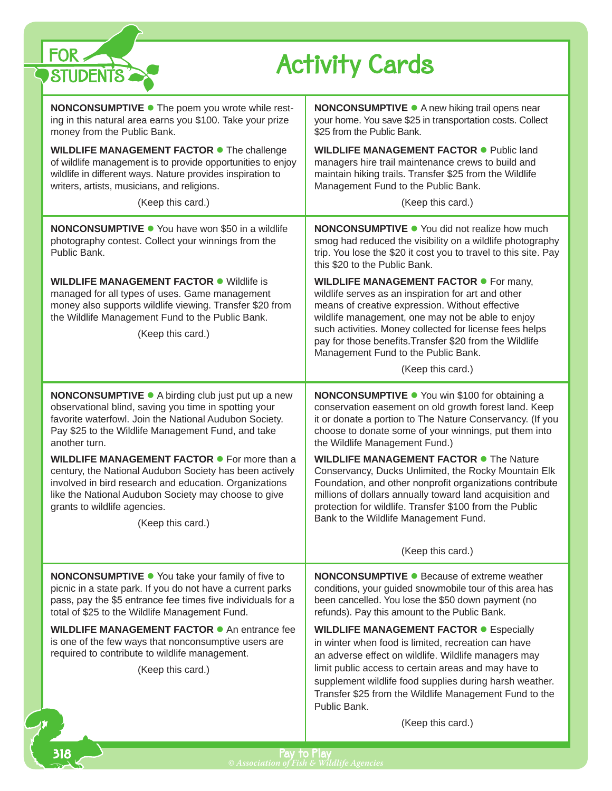| FOR <sub>2</sub><br><b>Activity Cards</b><br><b>STUDENTS</b>                                                                                                                                                                                                                   |                                                                                                                                                                                                                                                                                                                                                                           |  |
|--------------------------------------------------------------------------------------------------------------------------------------------------------------------------------------------------------------------------------------------------------------------------------|---------------------------------------------------------------------------------------------------------------------------------------------------------------------------------------------------------------------------------------------------------------------------------------------------------------------------------------------------------------------------|--|
| <b>NONCONSUMPTIVE •</b> The poem you wrote while rest-<br>ing in this natural area earns you \$100. Take your prize<br>money from the Public Bank.                                                                                                                             | <b>NONCONSUMPTIVE</b> • A new hiking trail opens near<br>your home. You save \$25 in transportation costs. Collect<br>\$25 from the Public Bank.                                                                                                                                                                                                                          |  |
| WILDLIFE MANAGEMENT FACTOR . The challenge<br>of wildlife management is to provide opportunities to enjoy<br>wildlife in different ways. Nature provides inspiration to<br>writers, artists, musicians, and religions.                                                         | <b>WILDLIFE MANAGEMENT FACTOR • Public land</b><br>managers hire trail maintenance crews to build and<br>maintain hiking trails. Transfer \$25 from the Wildlife<br>Management Fund to the Public Bank.                                                                                                                                                                   |  |
| (Keep this card.)                                                                                                                                                                                                                                                              | (Keep this card.)                                                                                                                                                                                                                                                                                                                                                         |  |
| <b>NONCONSUMPTIVE •</b> You have won \$50 in a wildlife<br>photography contest. Collect your winnings from the<br>Public Bank.                                                                                                                                                 | <b>NONCONSUMPTIVE •</b> You did not realize how much<br>smog had reduced the visibility on a wildlife photography<br>trip. You lose the \$20 it cost you to travel to this site. Pay<br>this \$20 to the Public Bank.                                                                                                                                                     |  |
| <b>WILDLIFE MANAGEMENT FACTOR • Wildlife is</b><br>managed for all types of uses. Game management<br>money also supports wildlife viewing. Transfer \$20 from<br>the Wildlife Management Fund to the Public Bank.<br>(Keep this card.)                                         | <b>WILDLIFE MANAGEMENT FACTOR •</b> For many,<br>wildlife serves as an inspiration for art and other<br>means of creative expression. Without effective<br>wildlife management, one may not be able to enjoy<br>such activities. Money collected for license fees helps<br>pay for those benefits. Transfer \$20 from the Wildlife<br>Management Fund to the Public Bank. |  |
|                                                                                                                                                                                                                                                                                | (Keep this card.)                                                                                                                                                                                                                                                                                                                                                         |  |
| <b>NONCONSUMPTIVE •</b> A birding club just put up a new<br>observational blind, saving you time in spotting your<br>favorite waterfowl. Join the National Audubon Society.<br>Pay \$25 to the Wildlife Management Fund, and take<br>another turn.                             | NONCONSUMPTIVE . You win \$100 for obtaining a<br>conservation easement on old growth forest land. Keep<br>it or donate a portion to The Nature Conservancy. (If you<br>choose to donate some of your winnings, put them into<br>the Wildlife Management Fund.)                                                                                                           |  |
| WILDLIFE MANAGEMENT FACTOR • For more than a<br>century, the National Audubon Society has been actively<br>involved in bird research and education. Organizations<br>like the National Audubon Society may choose to give<br>grants to wildlife agencies.<br>(Keep this card.) | <b>WILDLIFE MANAGEMENT FACTOR • The Nature</b><br>Conservancy, Ducks Unlimited, the Rocky Mountain Elk<br>Foundation, and other nonprofit organizations contribute<br>millions of dollars annually toward land acquisition and<br>protection for wildlife. Transfer \$100 from the Public<br>Bank to the Wildlife Management Fund.                                        |  |
|                                                                                                                                                                                                                                                                                | (Keep this card.)                                                                                                                                                                                                                                                                                                                                                         |  |
| <b>NONCONSUMPTIVE .</b> You take your family of five to<br>picnic in a state park. If you do not have a current parks<br>pass, pay the \$5 entrance fee times five individuals for a<br>total of \$25 to the Wildlife Management Fund.                                         | <b>NONCONSUMPTIVE ● Because of extreme weather</b><br>conditions, your guided snowmobile tour of this area has<br>been cancelled. You lose the \$50 down payment (no<br>refunds). Pay this amount to the Public Bank.                                                                                                                                                     |  |
| <b>WILDLIFE MANAGEMENT FACTOR •</b> An entrance fee<br>is one of the few ways that nonconsumptive users are<br>required to contribute to wildlife management.<br>(Keep this card.)                                                                                             | <b>WILDLIFE MANAGEMENT FACTOR •</b> Especially<br>in winter when food is limited, recreation can have<br>an adverse effect on wildlife. Wildlife managers may<br>limit public access to certain areas and may have to                                                                                                                                                     |  |
|                                                                                                                                                                                                                                                                                | supplement wildlife food supplies during harsh weather.<br>Transfer \$25 from the Wildlife Management Fund to the<br>Public Bank.                                                                                                                                                                                                                                         |  |
|                                                                                                                                                                                                                                                                                | (Keep this card.)                                                                                                                                                                                                                                                                                                                                                         |  |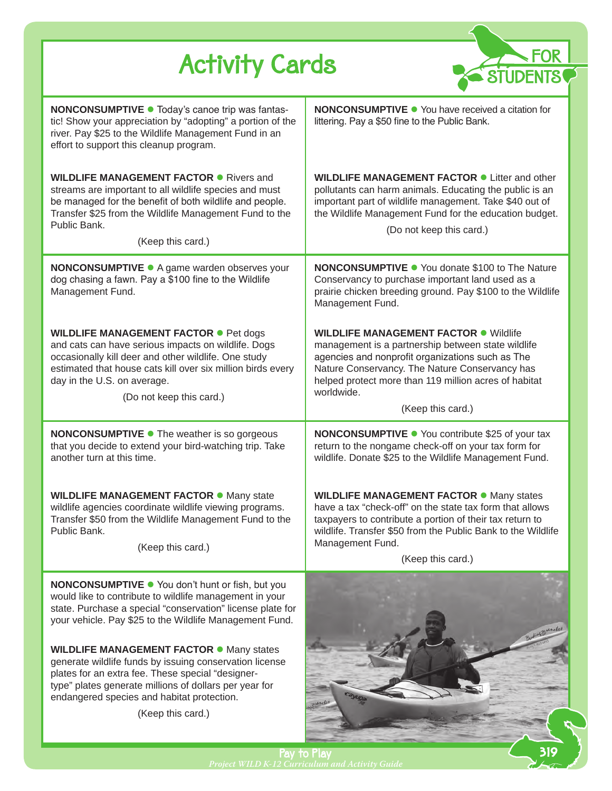| <b>Activity Cards</b><br><b>STUDENTS</b>                                                                                                                                                                                                                                                     |                                                                                                                                                                                                                                                                                                      |
|----------------------------------------------------------------------------------------------------------------------------------------------------------------------------------------------------------------------------------------------------------------------------------------------|------------------------------------------------------------------------------------------------------------------------------------------------------------------------------------------------------------------------------------------------------------------------------------------------------|
| <b>NONCONSUMPTIVE ·</b> Today's canoe trip was fantas-<br>tic! Show your appreciation by "adopting" a portion of the<br>river. Pay \$25 to the Wildlife Management Fund in an<br>effort to support this cleanup program.                                                                     | <b>NONCONSUMPTIVE •</b> You have received a citation for<br>littering. Pay a \$50 fine to the Public Bank.                                                                                                                                                                                           |
| <b>WILDLIFE MANAGEMENT FACTOR • Rivers and</b><br>streams are important to all wildlife species and must<br>be managed for the benefit of both wildlife and people.<br>Transfer \$25 from the Wildlife Management Fund to the<br>Public Bank.<br>(Keep this card.)                           | <b>WILDLIFE MANAGEMENT FACTOR • Litter and other</b><br>pollutants can harm animals. Educating the public is an<br>important part of wildlife management. Take \$40 out of<br>the Wildlife Management Fund for the education budget.<br>(Do not keep this card.)                                     |
| <b>NONCONSUMPTIVE ·</b> A game warden observes your<br>dog chasing a fawn. Pay a \$100 fine to the Wildlife<br>Management Fund.                                                                                                                                                              | <b>NONCONSUMPTIVE •</b> You donate \$100 to The Nature<br>Conservancy to purchase important land used as a<br>prairie chicken breeding ground. Pay \$100 to the Wildlife<br>Management Fund.                                                                                                         |
| <b>WILDLIFE MANAGEMENT FACTOR • Pet dogs</b><br>and cats can have serious impacts on wildlife. Dogs<br>occasionally kill deer and other wildlife. One study<br>estimated that house cats kill over six million birds every<br>day in the U.S. on average.<br>(Do not keep this card.)        | <b>WILDLIFE MANAGEMENT FACTOR . Wildlife</b><br>management is a partnership between state wildlife<br>agencies and nonprofit organizations such as The<br>Nature Conservancy. The Nature Conservancy has<br>helped protect more than 119 million acres of habitat<br>worldwide.<br>(Keep this card.) |
| <b>NONCONSUMPTIVE •</b> The weather is so gorgeous<br>that you decide to extend your bird-watching trip. Take<br>another turn at this time.                                                                                                                                                  | <b>NONCONSUMPTIVE ●</b> You contribute \$25 of your tax<br>return to the nongame check-off on your tax form for<br>wildlife. Donate \$25 to the Wildlife Management Fund.                                                                                                                            |
| <b>WILDLIFE MANAGEMENT FACTOR · Many state</b><br>wildlife agencies coordinate wildlife viewing programs.<br>Transfer \$50 from the Wildlife Management Fund to the<br>Public Bank.<br>(Keep this card.)                                                                                     | <b>WILDLIFE MANAGEMENT FACTOR · Many states</b><br>have a tax "check-off" on the state tax form that allows<br>taxpayers to contribute a portion of their tax return to<br>wildlife. Transfer \$50 from the Public Bank to the Wildlife<br>Management Fund.<br>(Keep this card.)                     |
| NONCONSUMPTIVE . You don't hunt or fish, but you<br>would like to contribute to wildlife management in your<br>state. Purchase a special "conservation" license plate for<br>your vehicle. Pay \$25 to the Wildlife Management Fund.                                                         |                                                                                                                                                                                                                                                                                                      |
| <b>WILDLIFE MANAGEMENT FACTOR • Many states</b><br>generate wildlife funds by issuing conservation license<br>plates for an extra fee. These special "designer-<br>type" plates generate millions of dollars per year for<br>endangered species and habitat protection.<br>(Keep this card.) |                                                                                                                                                                                                                                                                                                      |

Pay to Play *Project WILD K-12 Curriculum and Activity Guide*  319